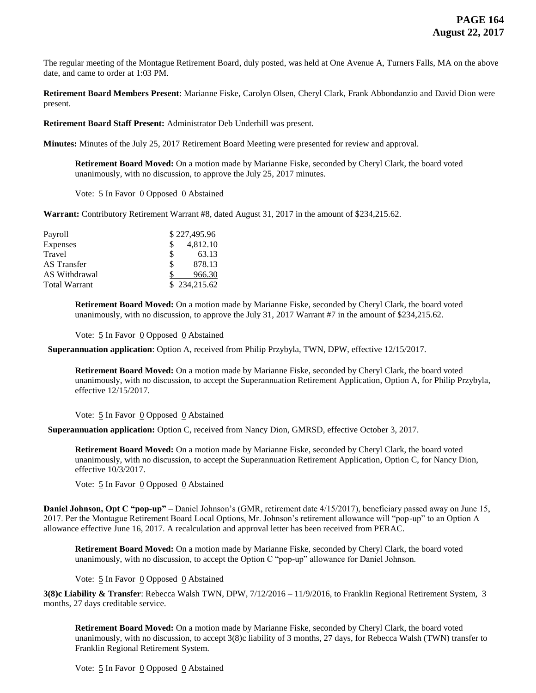The regular meeting of the Montague Retirement Board, duly posted, was held at One Avenue A, Turners Falls, MA on the above date, and came to order at 1:03 PM.

**Retirement Board Members Present**: Marianne Fiske, Carolyn Olsen, Cheryl Clark, Frank Abbondanzio and David Dion were present.

**Retirement Board Staff Present:** Administrator Deb Underhill was present.

**Minutes:** Minutes of the July 25, 2017 Retirement Board Meeting were presented for review and approval.

**Retirement Board Moved:** On a motion made by Marianne Fiske, seconded by Cheryl Clark, the board voted unanimously, with no discussion, to approve the July 25, 2017 minutes.

Vote: 5 In Favor 0 Opposed 0 Abstained

**Warrant:** Contributory Retirement Warrant #8, dated August 31, 2017 in the amount of \$234,215.62.

| Payroll              |   | \$227,495.96 |
|----------------------|---|--------------|
| Expenses             | S | 4,812.10     |
| Travel               | S | 63.13        |
| AS Transfer          | S | 878.13       |
| AS Withdrawal        |   | 966.30       |
| <b>Total Warrant</b> |   | \$234,215.62 |

**Retirement Board Moved:** On a motion made by Marianne Fiske, seconded by Cheryl Clark, the board voted unanimously, with no discussion, to approve the July 31, 2017 Warrant #7 in the amount of \$234,215.62.

Vote:  $5 \text{ In}$  Favor  $0$  Opposed  $0$  Abstained

 **Superannuation application**: Option A, received from Philip Przybyla, TWN, DPW, effective 12/15/2017.

**Retirement Board Moved:** On a motion made by Marianne Fiske, seconded by Cheryl Clark, the board voted unanimously, with no discussion, to accept the Superannuation Retirement Application, Option A, for Philip Przybyla, effective 12/15/2017.

Vote: 5 In Favor 0 Opposed 0 Abstained

 **Superannuation application:** Option C, received from Nancy Dion, GMRSD, effective October 3, 2017.

**Retirement Board Moved:** On a motion made by Marianne Fiske, seconded by Cheryl Clark, the board voted unanimously, with no discussion, to accept the Superannuation Retirement Application, Option C, for Nancy Dion, effective 10/3/2017.

Vote:  $5 \text{ In}$  Favor  $0$  Opposed  $0$  Abstained

**Daniel Johnson, Opt C "pop-up"** – Daniel Johnson's (GMR, retirement date 4/15/2017), beneficiary passed away on June 15, 2017. Per the Montague Retirement Board Local Options, Mr. Johnson's retirement allowance will "pop-up" to an Option A allowance effective June 16, 2017. A recalculation and approval letter has been received from PERAC.

**Retirement Board Moved:** On a motion made by Marianne Fiske, seconded by Cheryl Clark, the board voted unanimously, with no discussion, to accept the Option C "pop-up" allowance for Daniel Johnson.

Vote: 5 In Favor 0 Opposed 0 Abstained

**3(8)c Liability & Transfer**: Rebecca Walsh TWN, DPW, 7/12/2016 – 11/9/2016, to Franklin Regional Retirement System, 3 months, 27 days creditable service.

**Retirement Board Moved:** On a motion made by Marianne Fiske, seconded by Cheryl Clark, the board voted unanimously, with no discussion, to accept 3(8)c liability of 3 months, 27 days, for Rebecca Walsh (TWN) transfer to Franklin Regional Retirement System.

Vote:  $\frac{5}{5}$  In Favor  $\frac{0}{0}$  Opposed  $\frac{0}{0}$  Abstained